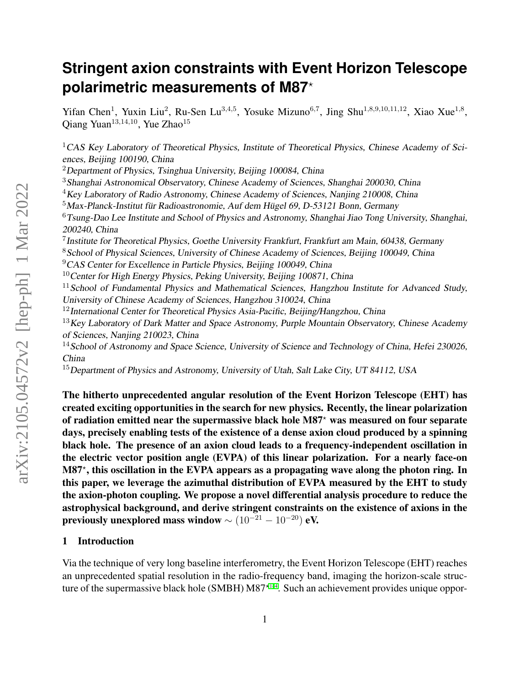# **Stringent axion constraints with Event Horizon Telescope polarimetric measurements of M87**?

Yifan Chen<sup>1</sup>, Yuxin Liu<sup>2</sup>, Ru-Sen Lu<sup>3,4,5</sup>, Yosuke Mizuno<sup>6,7</sup>, Jing Shu<sup>1,8,9,10,11,12</sup>, Xiao Xue<sup>1,8</sup>, Qiang Yuan<sup>13,14,10</sup>, Yue Zhao<sup>15</sup>

<sup>1</sup>CAS Key Laboratory of Theoretical Physics, Institute of Theoretical Physics, Chinese Academy of Sciences, Beijing 100190, China

<sup>2</sup>Department of Physics, Tsinghua University, Beijing 100084, China

<sup>3</sup>Shanghai Astronomical Observatory, Chinese Academy of Sciences, Shanghai 200030, China

 $4$ Key Laboratory of Radio Astronomy, Chinese Academy of Sciences, Nanjing 210008, China

 $5$ Max-Planck-Institut für Radioastronomie, Auf dem Hügel 69, D-53121 Bonn, Germany

 $6$ Tsung-Dao Lee Institute and School of Physics and Astronomy, Shanghai Jiao Tong University, Shanghai, 200240, China

<sup>7</sup> Institute for Theoretical Physics, Goethe University Frankfurt, Frankfurt am Main, 60438, Germany

<sup>8</sup> School of Physical Sciences, University of Chinese Academy of Sciences, Beijing 100049, China

<sup>9</sup>CAS Center for Excellence in Particle Physics, Beijing 100049, China

 $10$ Center for High Energy Physics, Peking University, Beijing 100871, China

 $11$ School of Fundamental Physics and Mathematical Sciences, Hangzhou Institute for Advanced Study, University of Chinese Academy of Sciences, Hangzhou 310024, China

 $12$ International Center for Theoretical Physics Asia-Pacific, Beijing/Hangzhou, China

 $13$  Key Laboratory of Dark Matter and Space Astronomy, Purple Mountain Observatory, Chinese Academy of Sciences, Nanjing 210023, China

<sup>14</sup> School of Astronomy and Space Science, University of Science and Technology of China, Hefei 230026, China

<sup>15</sup>Department of Physics and Astronomy, University of Utah, Salt Lake City, UT 84112, USA

The hitherto unprecedented angular resolution of the Event Horizon Telescope (EHT) has created exciting opportunities in the search for new physics. Recently, the linear polarization of radiation emitted near the supermassive black hole  $M87<sup>*</sup>$  was measured on four separate days, precisely enabling tests of the existence of a dense axion cloud produced by a spinning black hole. The presence of an axion cloud leads to a frequency-independent oscillation in the electric vector position angle (EVPA) of this linear polarization. For a nearly face-on M87? , this oscillation in the EVPA appears as a propagating wave along the photon ring. In this paper, we leverage the azimuthal distribution of EVPA measured by the EHT to study the axion-photon coupling. We propose a novel differential analysis procedure to reduce the astrophysical background, and derive stringent constraints on the existence of axions in the previously unexplored mass window  $\sim (10^{-21} - 10^{-20})$  eV.

# 1 Introduction

Via the technique of very long baseline interferometry, the Event Horizon Telescope (EHT) reaches an unprecedented spatial resolution in the radio-frequency band, imaging the horizon-scale structure of the supermassive black hole (SMBH)  $M87<sup>{*1-4}</sup>$  $M87<sup>{*1-4}</sup>$  $M87<sup>{*1-4}</sup>$ . Such an achievement provides unique oppor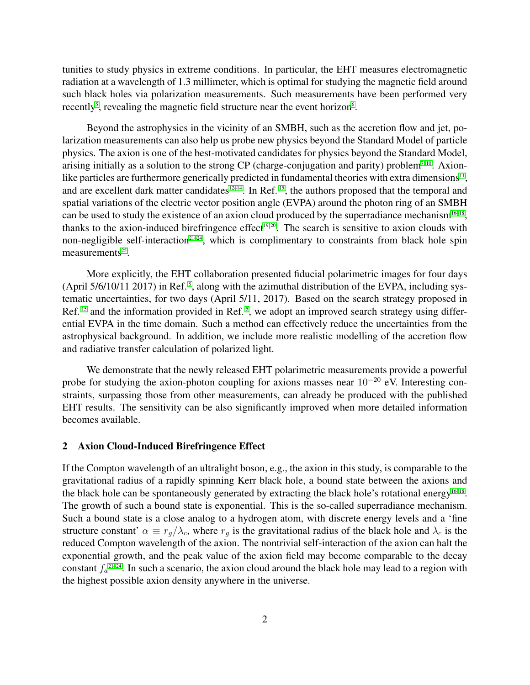tunities to study physics in extreme conditions. In particular, the EHT measures electromagnetic radiation at a wavelength of 1.3 millimeter, which is optimal for studying the magnetic field around such black holes via polarization measurements. Such measurements have been performed very recently<sup>[5](#page-15-2)</sup>, revealing the magnetic field structure near the event horizon $6$ .

Beyond the astrophysics in the vicinity of an SMBH, such as the accretion flow and jet, polarization measurements can also help us probe new physics beyond the Standard Model of particle physics. The axion is one of the best-motivated candidates for physics beyond the Standard Model, arising initially as a solution to the strong CP (charge-conjugation and parity) problem<sup>7-[10](#page-16-0)</sup>. Axion-like particles are furthermore generically predicted in fundamental theories with extra dimensions<sup>[11](#page-16-1)</sup>, and are excellent dark matter candidates<sup>[12–](#page-16-2)[14](#page-16-3)</sup>. In Ref.  $15$ , the authors proposed that the temporal and spatial variations of the electric vector position angle (EVPA) around the photon ring of an SMBH can be used to study the existence of an axion cloud produced by the superradiance mechanism<sup>[16–](#page-16-5)[18](#page-16-6)</sup>, thanks to the axion-induced birefringence effect<sup>[19,](#page-16-7)20</sup>. The search is sensitive to axion clouds with non-negligible self-interaction<sup>[21–](#page-16-9)[24](#page-16-10)</sup>, which is complimentary to constraints from black hole spin  $measures<sup>25</sup>$  $measures<sup>25</sup>$  $measures<sup>25</sup>$ .

More explicitly, the EHT collaboration presented fiducial polarimetric images for four days (April 5/6/10/11 2017) in Ref. [5](#page-15-2) , along with the azimuthal distribution of the EVPA, including systematic uncertainties, for two days (April 5/11, 2017). Based on the search strategy proposed in Ref.<sup>[15](#page-16-4)</sup> and the information provided in Ref.<sup>[5](#page-15-2)</sup>, we adopt an improved search strategy using differential EVPA in the time domain. Such a method can effectively reduce the uncertainties from the astrophysical background. In addition, we include more realistic modelling of the accretion flow and radiative transfer calculation of polarized light.

We demonstrate that the newly released EHT polarimetric measurements provide a powerful probe for studying the axion-photon coupling for axions masses near  $10^{-20}$  eV. Interesting constraints, surpassing those from other measurements, can already be produced with the published EHT results. The sensitivity can be also significantly improved when more detailed information becomes available.

#### 2 Axion Cloud-Induced Birefringence Effect

If the Compton wavelength of an ultralight boson, e.g., the axion in this study, is comparable to the gravitational radius of a rapidly spinning Kerr black hole, a bound state between the axions and the black hole can be spontaneously generated by extracting the black hole's rotational energy<sup>16-[18](#page-16-6)</sup>. The growth of such a bound state is exponential. This is the so-called superradiance mechanism. Such a bound state is a close analog to a hydrogen atom, with discrete energy levels and a 'fine structure constant'  $\alpha \equiv r_q/\lambda_c$ , where  $r_q$  is the gravitational radius of the black hole and  $\lambda_c$  is the reduced Compton wavelength of the axion. The nontrivial self-interaction of the axion can halt the exponential growth, and the peak value of the axion field may become comparable to the decay constant  $f_a^{21-24}$  $f_a^{21-24}$  $f_a^{21-24}$ . In such a scenario, the axion cloud around the black hole may lead to a region with the highest possible axion density anywhere in the universe.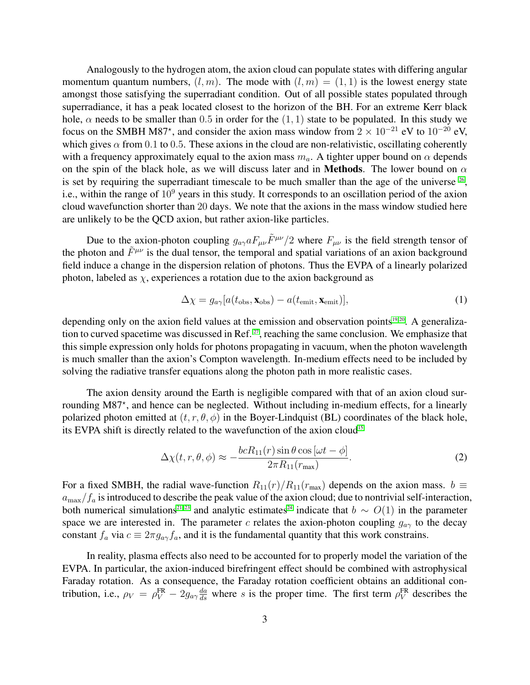Analogously to the hydrogen atom, the axion cloud can populate states with differing angular momentum quantum numbers,  $(l, m)$ . The mode with  $(l, m) = (1, 1)$  is the lowest energy state amongst those satisfying the superradiant condition. Out of all possible states populated through superradiance, it has a peak located closest to the horizon of the BH. For an extreme Kerr black hole,  $\alpha$  needs to be smaller than 0.5 in order for the  $(1, 1)$  state to be populated. In this study we focus on the SMBH M87<sup>\*</sup>, and consider the axion mass window from  $2 \times 10^{-21}$  eV to  $10^{-20}$  eV, which gives  $\alpha$  from 0.1 to 0.5. These axions in the cloud are non-relativistic, oscillating coherently with a frequency approximately equal to the axion mass  $m_a$ . A tighter upper bound on  $\alpha$  depends on the spin of the black hole, as we will discuss later and in **Methods**. The lower bound on  $\alpha$ is set by requiring the superradiant timescale to be much smaller than the age of the universe  $26$ , i.e., within the range of  $10<sup>9</sup>$  years in this study. It corresponds to an oscillation period of the axion cloud wavefunction shorter than 20 days. We note that the axions in the mass window studied here are unlikely to be the QCD axion, but rather axion-like particles.

Due to the axion-photon coupling  $g_{a\gamma}aF_{\mu\nu}\tilde{F}^{\mu\nu}/2$  where  $F_{\mu\nu}$  is the field strength tensor of the photon and  $\tilde{F}^{\mu\nu}$  is the dual tensor, the temporal and spatial variations of an axion background field induce a change in the dispersion relation of photons. Thus the EVPA of a linearly polarized photon, labeled as  $\chi$ , experiences a rotation due to the axion background as

$$
\Delta \chi = g_{a\gamma} [a(t_{\rm obs}, \mathbf{x}_{\rm obs}) - a(t_{\rm emit}, \mathbf{x}_{\rm emit})], \tag{1}
$$

depending only on the axion field values at the emission and observation points $19, 20$  $19, 20$ . A generaliza-tion to curved spacetime was discussed in Ref.<sup>[27](#page-17-1)</sup>, reaching the same conclusion. We emphasize that this simple expression only holds for photons propagating in vacuum, when the photon wavelength is much smaller than the axion's Compton wavelength. In-medium effects need to be included by solving the radiative transfer equations along the photon path in more realistic cases.

The axion density around the Earth is negligible compared with that of an axion cloud surrounding M87\*, and hence can be neglected. Without including in-medium effects, for a linearly polarized photon emitted at  $(t, r, \theta, \phi)$  in the Boyer-Lindquist (BL) coordinates of the black hole, its EVPA shift is directly related to the wavefunction of the axion cloud<sup>[15](#page-16-4)</sup>

$$
\Delta \chi(t, r, \theta, \phi) \approx -\frac{bcR_{11}(r)\sin\theta\cos\left[\omega t - \phi\right]}{2\pi R_{11}(r_{\text{max}})}.
$$
\n(2)

For a fixed SMBH, the radial wave-function  $R_{11}(r)/R_{11}(r_{\text{max}})$  depends on the axion mass.  $b \equiv$  $a_{\text{max}}/f_a$  is introduced to describe the peak value of the axion cloud; due to nontrivial self-interaction, both numerical simulations<sup>[21](#page-16-9)[–23](#page-16-12)</sup> and analytic estimates<sup>[24](#page-16-10)</sup> indicate that  $b \sim O(1)$  in the parameter space we are interested in. The parameter c relates the axion-photon coupling  $g_{a\gamma}$  to the decay constant  $f_a$  via  $c \equiv 2\pi g_{a\gamma} f_a$ , and it is the fundamental quantity that this work constrains.

In reality, plasma effects also need to be accounted for to properly model the variation of the EVPA. In particular, the axion-induced birefringent effect should be combined with astrophysical Faraday rotation. As a consequence, the Faraday rotation coefficient obtains an additional contribution, i.e.,  $\rho_V = \rho_V^{\text{FR}} - 2g_{a\gamma} \frac{da}{ds}$  where s is the proper time. The first term  $\rho_V^{\text{FR}}$  describes the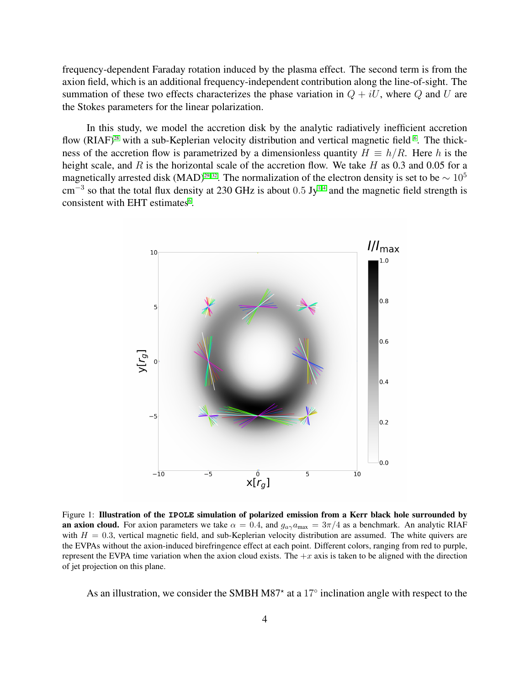frequency-dependent Faraday rotation induced by the plasma effect. The second term is from the axion field, which is an additional frequency-independent contribution along the line-of-sight. The summation of these two effects characterizes the phase variation in  $Q + iU$ , where Q and U are the Stokes parameters for the linear polarization.

In this study, we model the accretion disk by the analytic radiatively inefficient accretion flow (RIAF)<sup>[28](#page-17-2)</sup> with a sub-Keplerian velocity distribution and vertical magnetic field <sup>[6](#page-15-3)</sup>. The thickness of the accretion flow is parametrized by a dimensionless quantity  $H \equiv h/R$ . Here h is the height scale, and R is the horizontal scale of the accretion flow. We take H as  $0.3$  and  $0.05$  for a magnetically arrested disk (MAD)<sup>[29–](#page-17-3)[32](#page-17-4)</sup>. The normalization of the electron density is set to be  $\sim 10^5$ cm<sup>-3</sup> so that the total flux density at 230 GHz is about 0.5 Jy<sup>[1](#page-15-0)4</sup> and the magnetic field strength is consistent with EHT estimates<sup>[6](#page-15-3)</sup>.

<span id="page-3-0"></span>

Figure 1: Illustration of the **IPOLE** simulation of polarized emission from a Kerr black hole surrounded by an axion cloud. For axion parameters we take  $\alpha = 0.4$ , and  $g_{\alpha\gamma}a_{\text{max}} = 3\pi/4$  as a benchmark. An analytic RIAF with  $H = 0.3$ , vertical magnetic field, and sub-Keplerian velocity distribution are assumed. The white quivers are the EVPAs without the axion-induced birefringence effect at each point. Different colors, ranging from red to purple, represent the EVPA time variation when the axion cloud exists. The  $+x$  axis is taken to be aligned with the direction of jet projection on this plane.

As an illustration, we consider the SMBH M87<sup>\*</sup> at a 17 $\degree$  inclination angle with respect to the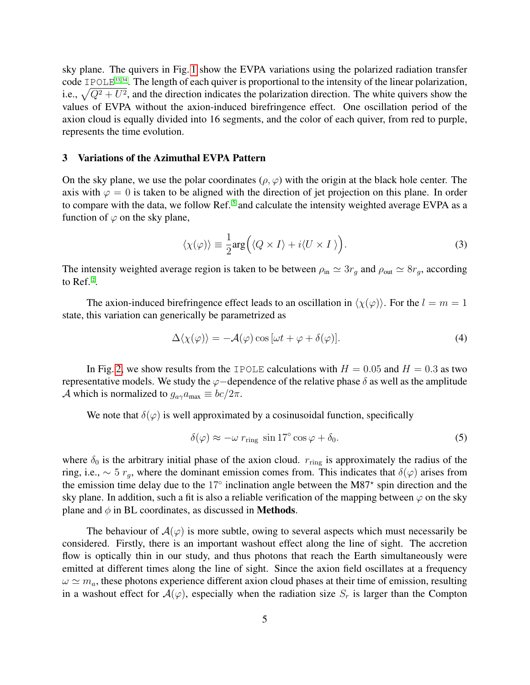sky plane. The quivers in Fig. [1](#page-3-0) show the EVPA variations using the polarized radiation transfer code IPOLE<sup>[33,](#page-17-5) [34](#page-17-6)</sup>. The length of each quiver is proportional to the intensity of the linear polarization, i.e.,  $\sqrt{Q^2 + U^2}$ , and the direction indicates the polarization direction. The white quivers show the values of EVPA without the axion-induced birefringence effect. One oscillation period of the axion cloud is equally divided into 16 segments, and the color of each quiver, from red to purple, represents the time evolution.

## 3 Variations of the Azimuthal EVPA Pattern

On the sky plane, we use the polar coordinates ( $\rho, \varphi$ ) with the origin at the black hole center. The axis with  $\varphi = 0$  is taken to be aligned with the direction of jet projection on this plane. In order to compare with the data, we follow Ref.<sup>[5](#page-15-2)</sup> and calculate the intensity weighted average EVPA as a function of  $\varphi$  on the sky plane,

$$
\langle \chi(\varphi) \rangle \equiv \frac{1}{2} \arg \Big( \langle Q \times I \rangle + i \langle U \times I \rangle \Big). \tag{3}
$$

The intensity weighted average region is taken to be between  $\rho_{\text{in}} \simeq 3r_g$  and  $\rho_{\text{out}} \simeq 8r_g$ , according to Ref.<sup>[2](#page-15-5)</sup>.

The axion-induced birefringence effect leads to an oscillation in  $\langle \chi(\varphi) \rangle$ . For the  $l = m = 1$ state, this variation can generically be parametrized as

<span id="page-4-0"></span>
$$
\Delta\langle \chi(\varphi) \rangle = -\mathcal{A}(\varphi) \cos[\omega t + \varphi + \delta(\varphi)]. \tag{4}
$$

In Fig. [2,](#page-5-0) we show results from the IPOLE calculations with  $H = 0.05$  and  $H = 0.3$  as two representative models. We study the  $\varphi$ −dependence of the relative phase  $\delta$  as well as the amplitude A which is normalized to  $g_{a\gamma}a_{\text{max}} \equiv bc/2\pi$ .

We note that  $\delta(\varphi)$  is well approximated by a cosinusoidal function, specifically

$$
\delta(\varphi) \approx -\omega \, r_{\rm ring} \, \sin 17^\circ \cos \varphi + \delta_0. \tag{5}
$$

where  $\delta_0$  is the arbitrary initial phase of the axion cloud.  $r_{\text{ring}}$  is approximately the radius of the ring, i.e.,  $\sim 5 r_q$ , where the dominant emission comes from. This indicates that  $\delta(\varphi)$  arises from the emission time delay due to the  $17^\circ$  inclination angle between the M87 $^*$  spin direction and the sky plane. In addition, such a fit is also a reliable verification of the mapping between  $\varphi$  on the sky plane and  $\phi$  in BL coordinates, as discussed in **Methods**.

The behaviour of  $\mathcal{A}(\varphi)$  is more subtle, owing to several aspects which must necessarily be considered. Firstly, there is an important washout effect along the line of sight. The accretion flow is optically thin in our study, and thus photons that reach the Earth simultaneously were emitted at different times along the line of sight. Since the axion field oscillates at a frequency  $\omega \simeq m_a$ , these photons experience different axion cloud phases at their time of emission, resulting in a washout effect for  $A(\varphi)$ , especially when the radiation size  $S_r$  is larger than the Compton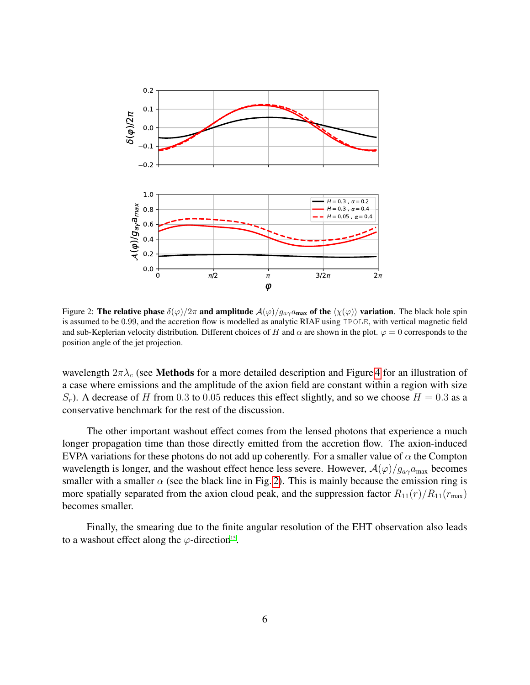<span id="page-5-0"></span>

Figure 2: The relative phase  $\delta(\varphi)/2\pi$  and amplitude  $\mathcal{A}(\varphi)/g_{a\gamma}a_{\text{max}}$  of the  $\langle \chi(\varphi) \rangle$  variation. The black hole spin is assumed to be 0.99, and the accretion flow is modelled as analytic RIAF using IPOLE, with vertical magnetic field and sub-Keplerian velocity distribution. Different choices of H and  $\alpha$  are shown in the plot.  $\varphi = 0$  corresponds to the position angle of the jet projection.

wavelength  $2\pi\lambda_c$  (see **Methods** for a more detailed description and Figure [4](#page-14-0) for an illustration of a case where emissions and the amplitude of the axion field are constant within a region with size  $S_r$ ). A decrease of H from 0.3 to 0.05 reduces this effect slightly, and so we choose  $H = 0.3$  as a conservative benchmark for the rest of the discussion.

The other important washout effect comes from the lensed photons that experience a much longer propagation time than those directly emitted from the accretion flow. The axion-induced EVPA variations for these photons do not add up coherently. For a smaller value of  $\alpha$  the Compton wavelength is longer, and the washout effect hence less severe. However,  $A(\varphi)/g_{a\gamma}a_{\text{max}}$  becomes smaller with a smaller  $\alpha$  (see the black line in Fig. [2\)](#page-5-0). This is mainly because the emission ring is more spatially separated from the axion cloud peak, and the suppression factor  $R_{11}(r)/R_{11}(r_{\text{max}})$ becomes smaller.

Finally, the smearing due to the finite angular resolution of the EHT observation also leads to a washout effect along the  $\varphi$ -direction<sup>[15](#page-16-4)</sup>.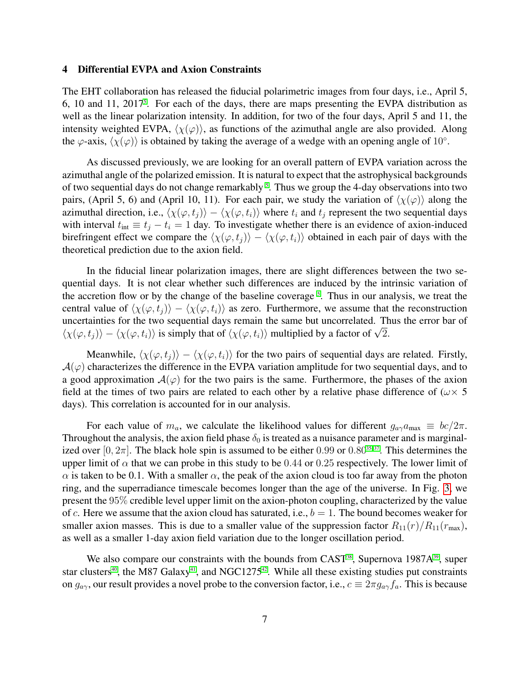#### 4 Differential EVPA and Axion Constraints

The EHT collaboration has released the fiducial polarimetric images from four days, i.e., April 5,  $6, 10$  and  $11, 2017$ <sup>[5](#page-15-2)</sup>. For each of the days, there are maps presenting the EVPA distribution as well as the linear polarization intensity. In addition, for two of the four days, April 5 and 11, the intensity weighted EVPA,  $\langle \chi(\varphi) \rangle$ , as functions of the azimuthal angle are also provided. Along the  $\varphi$ -axis,  $\langle \chi(\varphi) \rangle$  is obtained by taking the average of a wedge with an opening angle of 10°.

As discussed previously, we are looking for an overall pattern of EVPA variation across the azimuthal angle of the polarized emission. It is natural to expect that the astrophysical backgrounds of two sequential days do not change remarkably <sup>[5](#page-15-2)</sup>. Thus we group the 4-day observations into two pairs, (April 5, 6) and (April 10, 11). For each pair, we study the variation of  $\langle \chi(\varphi) \rangle$  along the azimuthal direction, i.e.,  $\langle \chi(\varphi, t_i) \rangle - \langle \chi(\varphi, t_i) \rangle$  where  $t_i$  and  $t_j$  represent the two sequential days with interval  $t_{\text{int}} \equiv t_i - t_i = 1$  day. To investigate whether there is an evidence of axion-induced birefringent effect we compare the  $\langle \chi(\varphi, t_i) \rangle - \langle \chi(\varphi, t_i) \rangle$  obtained in each pair of days with the theoretical prediction due to the axion field.

In the fiducial linear polarization images, there are slight differences between the two sequential days. It is not clear whether such differences are induced by the intrinsic variation of the accretion flow or by the change of the baseline coverage<sup>[5](#page-15-2)</sup>. Thus in our analysis, we treat the central value of  $\langle \chi(\varphi, t_i) \rangle - \langle \chi(\varphi, t_i) \rangle$  as zero. Furthermore, we assume that the reconstruction uncertainties for the two sequential days remain the same but uncorrelated. Thus the error bar of uncertainties for the two sequential days remain the same but uncorrelated. If  $\langle \chi(\varphi, t_i) \rangle - \langle \chi(\varphi, t_i) \rangle$  is simply that of  $\langle \chi(\varphi, t_i) \rangle$  multiplied by a factor of  $\sqrt{2}$ .

Meanwhile,  $\langle \chi(\varphi, t_i) \rangle - \langle \chi(\varphi, t_i) \rangle$  for the two pairs of sequential days are related. Firstly,  $\mathcal{A}(\varphi)$  characterizes the difference in the EVPA variation amplitude for two sequential days, and to a good approximation  $\mathcal{A}(\varphi)$  for the two pairs is the same. Furthermore, the phases of the axion field at the times of two pairs are related to each other by a relative phase difference of ( $\omega \times$  5 days). This correlation is accounted for in our analysis.

For each value of  $m_a$ , we calculate the likelihood values for different  $g_{a\gamma}a_{\text{max}} \equiv bc/2\pi$ . Throughout the analysis, the axion field phase  $\delta_0$  is treated as a nuisance parameter and is marginalized over [0,  $2\pi$ ]. The black hole spin is assumed to be either 0.99 or 0.80<sup>[35](#page-17-7)-37</sup>. This determines the upper limit of  $\alpha$  that we can probe in this study to be 0.44 or 0.25 respectively. The lower limit of  $\alpha$  is taken to be 0.1. With a smaller  $\alpha$ , the peak of the axion cloud is too far away from the photon ring, and the superradiance timescale becomes longer than the age of the universe. In Fig. [3,](#page-7-0) we present the 95% credible level upper limit on the axion-photon coupling, characterized by the value of c. Here we assume that the axion cloud has saturated, i.e.,  $b = 1$ . The bound becomes weaker for smaller axion masses. This is due to a smaller value of the suppression factor  $R_{11}(r)/R_{11}(r_{\text{max}})$ , as well as a smaller 1-day axion field variation due to the longer oscillation period.

We also compare our constraints with the bounds from CAST<sup>[38](#page-17-9)</sup>, Supernova 1987A<sup>[39](#page-17-10)</sup>, super star clusters<sup>[40](#page-17-11)</sup>, the M87 Galaxy<sup>[41](#page-17-12)</sup>, and NGC1275<sup>[42](#page-18-0)</sup>. While all these existing studies put constraints on  $g_{a\gamma}$ , our result provides a novel probe to the conversion factor, i.e.,  $c \equiv 2\pi g_{a\gamma} f_a$ . This is because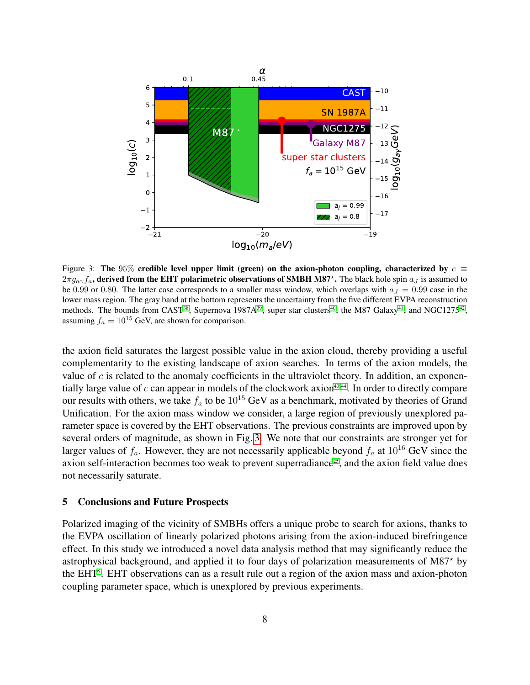<span id="page-7-0"></span>

Figure 3: The 95% credible level upper limit (green) on the axion-photon coupling, characterized by  $c \equiv$  $2\pi g_{a\gamma}f_a$ , derived from the EHT polarimetric observations of SMBH M87<sup>\*</sup>. The black hole spin  $a_J$  is assumed to be 0.99 or 0.80. The latter case corresponds to a smaller mass window, which overlaps with  $a_J = 0.99$  case in the lower mass region. The gray band at the bottom represents the uncertainty from the five different EVPA reconstruction methods. The bounds from CAST<sup>[38](#page-17-9)</sup>, Supernova 1987A<sup>[39](#page-17-10)</sup>, super star clusters<sup>[40](#page-17-11)</sup>, the M87 Galaxy<sup>[41](#page-17-12)</sup>, and NGC1275<sup>[42](#page-18-0)</sup>, assuming  $f_a = 10^{15}$  GeV, are shown for comparison.

the axion field saturates the largest possible value in the axion cloud, thereby providing a useful complementarity to the existing landscape of axion searches. In terms of the axion models, the value of  $c$  is related to the anomaly coefficients in the ultraviolet theory. In addition, an exponentially large value of  $c$  can appear in models of the clockwork axion<sup>[43,](#page-18-1)44</sup>. In order to directly compare our results with others, we take  $f_a$  to be  $10^{15}$  GeV as a benchmark, motivated by theories of Grand Unification. For the axion mass window we consider, a large region of previously unexplored parameter space is covered by the EHT observations. The previous constraints are improved upon by several orders of magnitude, as shown in Fig. [3.](#page-7-0) We note that our constraints are stronger yet for larger values of  $f_a$ . However, they are not necessarily applicable beyond  $f_a$  at  $10^{16}$  GeV since the axion self-interaction becomes too weak to prevent superradiance<sup>[25](#page-16-11)</sup>, and the axion field value does not necessarily saturate.

#### 5 Conclusions and Future Prospects

Polarized imaging of the vicinity of SMBHs offers a unique probe to search for axions, thanks to the EVPA oscillation of linearly polarized photons arising from the axion-induced birefringence effect. In this study we introduced a novel data analysis method that may significantly reduce the astrophysical background, and applied it to four days of polarization measurements of  $M87*$  by the EHT<sup>[5](#page-15-2)</sup>. EHT observations can as a result rule out a region of the axion mass and axion-photon coupling parameter space, which is unexplored by previous experiments.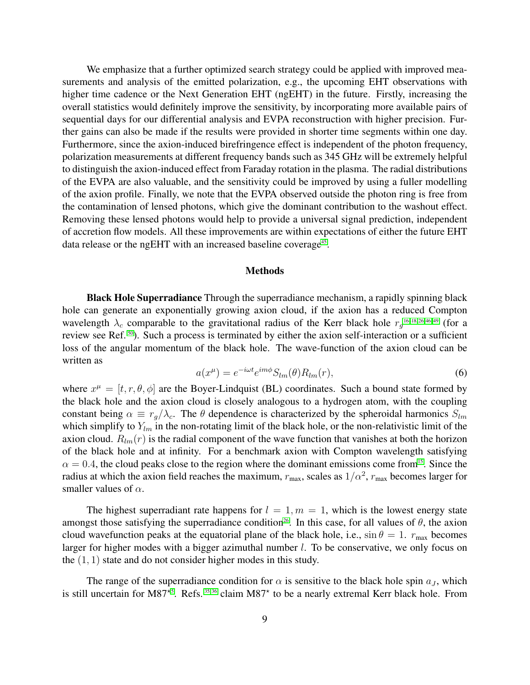We emphasize that a further optimized search strategy could be applied with improved measurements and analysis of the emitted polarization, e.g., the upcoming EHT observations with higher time cadence or the Next Generation EHT (ngEHT) in the future. Firstly, increasing the overall statistics would definitely improve the sensitivity, by incorporating more available pairs of sequential days for our differential analysis and EVPA reconstruction with higher precision. Further gains can also be made if the results were provided in shorter time segments within one day. Furthermore, since the axion-induced birefringence effect is independent of the photon frequency, polarization measurements at different frequency bands such as 345 GHz will be extremely helpful to distinguish the axion-induced effect from Faraday rotation in the plasma. The radial distributions of the EVPA are also valuable, and the sensitivity could be improved by using a fuller modelling of the axion profile. Finally, we note that the EVPA observed outside the photon ring is free from the contamination of lensed photons, which give the dominant contribution to the washout effect. Removing these lensed photons would help to provide a universal signal prediction, independent of accretion flow models. All these improvements are within expectations of either the future EHT data release or the ngEHT with an increased baseline coverage<sup>[45](#page-18-3)</sup>.

## Methods

**Black Hole Superradiance** Through the superradiance mechanism, a rapidly spinning black hole can generate an exponentially growing axion cloud, if the axion has a reduced Compton wavelength  $\lambda_c$  comparable to the gravitational radius of the Kerr black hole  $r_g^{16-18,26,46-49}$  $r_g^{16-18,26,46-49}$  $r_g^{16-18,26,46-49}$  $r_g^{16-18,26,46-49}$  $r_g^{16-18,26,46-49}$  (for a review see Ref. [50](#page-18-6)). Such a process is terminated by either the axion self-interaction or a sufficient loss of the angular momentum of the black hole. The wave-function of the axion cloud can be written as

$$
a(x^{\mu}) = e^{-i\omega t} e^{im\phi} S_{lm}(\theta) R_{lm}(r), \qquad (6)
$$

where  $x^{\mu} = [t, r, \theta, \phi]$  are the Boyer-Lindquist (BL) coordinates. Such a bound state formed by the black hole and the axion cloud is closely analogous to a hydrogen atom, with the coupling constant being  $\alpha \equiv r_q/\lambda_c$ . The  $\theta$  dependence is characterized by the spheroidal harmonics  $S_{lm}$ which simplify to  $Y_{lm}$  in the non-rotating limit of the black hole, or the non-relativistic limit of the axion cloud.  $R_{lm}(r)$  is the radial component of the wave function that vanishes at both the horizon of the black hole and at infinity. For a benchmark axion with Compton wavelength satisfying  $\alpha = 0.4$ , the cloud peaks close to the region where the dominant emissions come from<sup>[15](#page-16-4)</sup>. Since the radius at which the axion field reaches the maximum,  $r_{\text{max}}$ , scales as  $1/\alpha^2$ ,  $r_{\text{max}}$  becomes larger for smaller values of  $\alpha$ .

The highest superradiant rate happens for  $l = 1, m = 1$ , which is the lowest energy state amongst those satisfying the superradiance condition<sup>[26](#page-17-0)</sup>. In this case, for all values of  $\theta$ , the axion cloud wavefunction peaks at the equatorial plane of the black hole, i.e.,  $\sin \theta = 1$ .  $r_{\text{max}}$  becomes larger for higher modes with a bigger azimuthal number  $l$ . To be conservative, we only focus on the  $(1, 1)$  state and do not consider higher modes in this study.

The range of the superradiance condition for  $\alpha$  is sensitive to the black hole spin  $a<sub>J</sub>$ , which is still uncertain for M87<sup>\*[5](#page-15-2)</sup>. Refs.<sup>[35,](#page-17-7) [36](#page-17-13)</sup> claim M87<sup>\*</sup> to be a nearly extremal Kerr black hole. From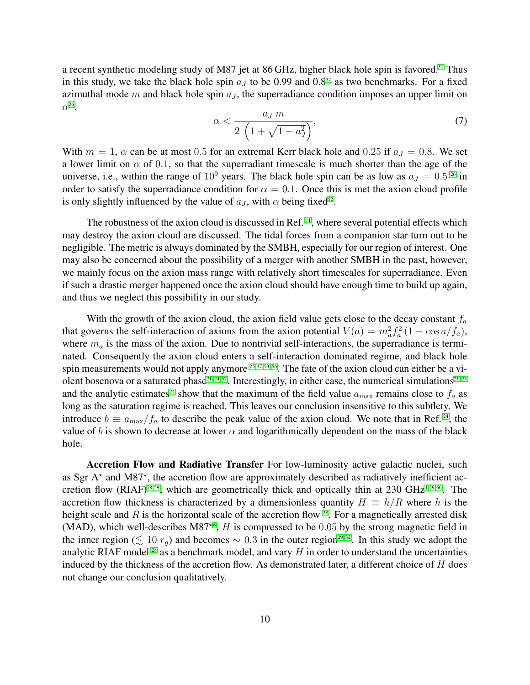a recent synthetic modeling study of M87 jet at 86 GHz, higher black hole spin is favored.<sup>[51](#page-18-7)</sup> Thus in this study, we take the black hole spin  $a_j$  to be 0.99 and 0.8<sup>[37](#page-17-8)</sup> as two benchmarks. For a fixed azimuthal mode m and black hole spin  $a<sub>J</sub>$ , the superradiance condition imposes an upper limit on  $\alpha^{26}$  $\alpha^{26}$  $\alpha^{26}$ ,

<span id="page-9-0"></span>
$$
\alpha < \frac{a_J \, m}{2 \, \left( 1 + \sqrt{1 - a_J^2} \right)},\tag{7}
$$

With  $m = 1$ ,  $\alpha$  can be at most 0.5 for an extremal Kerr black hole and 0.25 if  $a<sub>J</sub> = 0.8$ . We set a lower limit on  $\alpha$  of 0.1, so that the superradiant timescale is much shorter than the age of the universe, i.e., within the range of  $10^9$  years. The black hole spin can be as low as  $a_J = 0.5^{26}$  $a_J = 0.5^{26}$  $a_J = 0.5^{26}$  in order to satisfy the superradiance condition for  $\alpha = 0.1$ . Once this is met the axion cloud profile is only slightly influenced by the value of  $a_J$ , with  $\alpha$  being fixed<sup>[52](#page-18-8)</sup>.

The robustness of the axion cloud is discussed in Ref.  $\mathbb{I}^1$ , where several potential effects which may destroy the axion cloud are discussed. The tidal forces from a companion star turn out to be negligible. The metric is always dominated by the SMBH, especially for our region of interest. One may also be concerned about the possibility of a merger with another SMBH in the past, however, we mainly focus on the axion mass range with relatively short timescales for superradiance. Even if such a drastic merger happened once the axion cloud should have enough time to build up again, and thus we neglect this possibility in our study.

With the growth of the axion cloud, the axion field value gets close to the decay constant  $f_a$ that governs the self-interaction of axions from the axion potential  $V(a) = m_a^2 f_a^2 (1 - \cos a/f_a)$ , where  $m_a$  is the mass of the axion. Due to nontrivial self-interactions, the superradiance is terminated. Consequently the axion cloud enters a self-interaction dominated regime, and black hole spin measurements would not apply anymore  $25,37,53-56$  $25,37,53-56$ . The fate of the axion cloud can either be a vi-olent bosenova or a saturated phase<sup>[21–](#page-16-9)[24,](#page-16-10) [57](#page-18-11)</sup>. Interestingly, in either case, the numerical simulations<sup>21–[23](#page-16-12)</sup> and the analytic estimates<sup>[24](#page-16-10)</sup> show that the maximum of the field value  $a_{\text{max}}$  remains close to  $f_a$  as long as the saturation regime is reached. This leaves our conclusion insensitive to this subtlety. We introduce  $b \equiv a_{\text{max}}/f_a$  to describe the peak value of the axion cloud. We note that in Ref.<sup>[24](#page-16-10)</sup>, the value of b is shown to decrease at lower  $\alpha$  and logarithmically dependent on the mass of the black hole.

Accretion Flow and Radiative Transfer For low-luminosity active galactic nuclei, such as Sgr A\* and M87\*, the accretion flow are approximately described as radiatively inefficient ac-cretion flow (RIAF)<sup>[58,](#page-19-0) [59](#page-19-1)</sup>, which are geometrically thick and optically thin at 230 GHz<sup>[4,](#page-15-1) [59,](#page-19-1) [60](#page-19-2)</sup>. The accretion flow thickness is characterized by a dimensionless quantity  $H \equiv h/R$  where h is the height scale and  $R$  is the horizontal scale of the accretion flow  $28$ . For a magnetically arrested disk (MAD), which well-describes M87<sup> $\star$ [6](#page-15-3)</sup>, H is compressed to be 0.05 by the strong magnetic field in the inner region ( $\leq 10 r_g$ ) and becomes ~ 0.3 in the outer region<sup>[29](#page-17-3)[–32](#page-17-4)</sup>. In this study we adopt the analytic RIAF model  $^{28}$  $^{28}$  $^{28}$  as a benchmark model, and vary H in order to understand the uncertainties induced by the thickness of the accretion flow. As demonstrated later, a different choice of  $H$  does not change our conclusion qualitatively.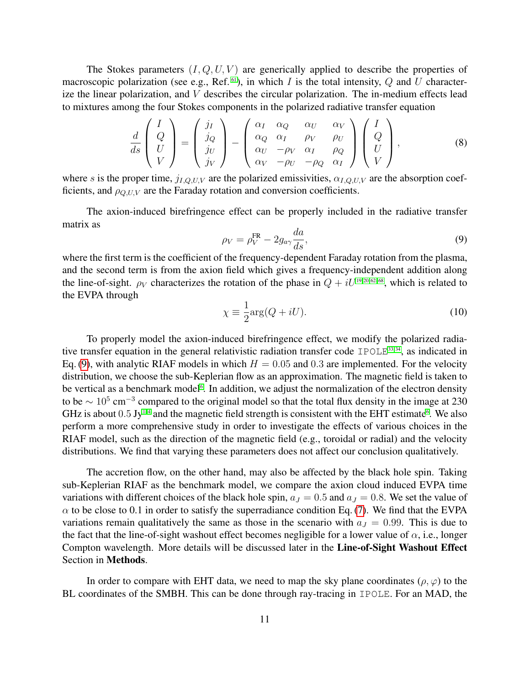The Stokes parameters  $(I, Q, U, V)$  are generically applied to describe the properties of macroscopic polarization (see e.g., Ref.  $61$ ), in which I is the total intensity, Q and U characterize the linear polarization, and V describes the circular polarization. The in-medium effects lead to mixtures among the four Stokes components in the polarized radiative transfer equation

$$
\frac{d}{ds}\begin{pmatrix}I\\Q\\U\\V\end{pmatrix}=\begin{pmatrix}j_I\\j_Q\\j_U\\j_V\end{pmatrix}-\begin{pmatrix}\alpha_I & \alpha_Q & \alpha_U & \alpha_V\\ \alpha_Q & \alpha_I & \rho_V & \rho_U\\ \alpha_U & -\rho_V & \alpha_I & \rho_Q\\ \alpha_V & -\rho_U & -\rho_Q & \alpha_I\end{pmatrix}\begin{pmatrix}I\\Q\\U\\V\end{pmatrix},\tag{8}
$$

where s is the proper time,  $j_{I,Q,U,V}$  are the polarized emissivities,  $\alpha_{I,Q,U,V}$  are the absorption coefficients, and  $\rho_{Q,UV}$  are the Faraday rotation and conversion coefficients.

The axion-induced birefringence effect can be properly included in the radiative transfer matrix as

<span id="page-10-0"></span>
$$
\rho_V = \rho_V^{\text{FR}} - 2g_{a\gamma} \frac{da}{ds},\tag{9}
$$

where the first term is the coefficient of the frequency-dependent Faraday rotation from the plasma, and the second term is from the axion field which gives a frequency-independent addition along the line-of-sight.  $\rho_V$  characterizes the rotation of the phase in  $Q + iU^{19,20,62-68}$  $Q + iU^{19,20,62-68}$  $Q + iU^{19,20,62-68}$ , which is related to the EVPA through

$$
\chi \equiv \frac{1}{2} \text{arg}(Q + iU). \tag{10}
$$

To properly model the axion-induced birefringence effect, we modify the polarized radiative transfer equation in the general relativistic radiation transfer code IPOLE $^{33,34}$  $^{33,34}$  $^{33,34}$ , as indicated in Eq. [\(9\)](#page-10-0), with analytic RIAF models in which  $H = 0.05$  and 0.3 are implemented. For the velocity distribution, we choose the sub-Keplerian flow as an approximation. The magnetic field is taken to be vertical as a benchmark model<sup>[6](#page-15-3)</sup>. In addition, we adjust the normalization of the electron density to be  $\sim 10^5$  cm<sup>-3</sup> compared to the original model so that the total flux density in the image at 230 GHz is about  $0.5 \text{ Jy}^{\text{1-4}}$  $0.5 \text{ Jy}^{\text{1-4}}$  $0.5 \text{ Jy}^{\text{1-4}}$  and the magnetic field strength is consistent with the EHT estimate<sup>[6](#page-15-3)</sup>. We also perform a more comprehensive study in order to investigate the effects of various choices in the RIAF model, such as the direction of the magnetic field (e.g., toroidal or radial) and the velocity distributions. We find that varying these parameters does not affect our conclusion qualitatively.

The accretion flow, on the other hand, may also be affected by the black hole spin. Taking sub-Keplerian RIAF as the benchmark model, we compare the axion cloud induced EVPA time variations with different choices of the black hole spin,  $a_J = 0.5$  and  $a_J = 0.8$ . We set the value of  $\alpha$  to be close to 0.1 in order to satisfy the superradiance condition Eq. [\(7\)](#page-9-0). We find that the EVPA variations remain qualitatively the same as those in the scenario with  $a<sub>J</sub> = 0.99$ . This is due to the fact that the line-of-sight washout effect becomes negligible for a lower value of  $\alpha$ , i.e., longer Compton wavelength. More details will be discussed later in the Line-of-Sight Washout Effect Section in Methods.

In order to compare with EHT data, we need to map the sky plane coordinates ( $\rho, \varphi$ ) to the BL coordinates of the SMBH. This can be done through ray-tracing in IPOLE. For an MAD, the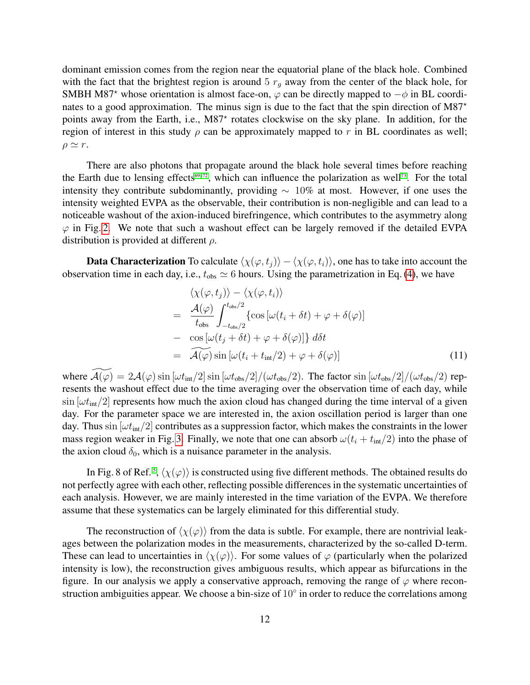dominant emission comes from the region near the equatorial plane of the black hole. Combined with the fact that the brightest region is around 5  $r<sub>g</sub>$  away from the center of the black hole, for SMBH M87<sup>\*</sup> whose orientation is almost face-on,  $\varphi$  can be directly mapped to  $-\varphi$  in BL coordinates to a good approximation. The minus sign is due to the fact that the spin direction of M87<sup>\*</sup> points away from the Earth, i.e., M87<sup>\*</sup> rotates clockwise on the sky plane. In addition, for the region of interest in this study  $\rho$  can be approximately mapped to r in BL coordinates as well;  $\rho \simeq r$ .

There are also photons that propagate around the black hole several times before reaching the Earth due to lensing effects<sup>[69](#page-19-6)[–72](#page-19-7)</sup>, which can influence the polarization as well<sup>[73](#page-19-8)</sup>. For the total intensity they contribute subdominantly, providing  $\sim 10\%$  at most. However, if one uses the intensity weighted EVPA as the observable, their contribution is non-negligible and can lead to a noticeable washout of the axion-induced birefringence, which contributes to the asymmetry along  $\varphi$  in Fig. [2.](#page-5-0) We note that such a washout effect can be largely removed if the detailed EVPA distribution is provided at different  $\rho$ .

**Data Characterization** To calculate  $\langle \chi(\varphi, t_i) \rangle - \langle \chi(\varphi, t_i) \rangle$ , one has to take into account the observation time in each day, i.e.,  $t_{obs} \simeq 6$  hours. Using the parametrization in Eq. [\(4\)](#page-4-0), we have

<span id="page-11-0"></span>
$$
\langle \chi(\varphi, t_j) \rangle - \langle \chi(\varphi, t_i) \rangle \n= \frac{\mathcal{A}(\varphi)}{t_{\text{obs}}} \int_{-t_{\text{obs}}/2}^{t_{\text{obs}}/2} \{ \cos \left[ \omega(t_i + \delta t) + \varphi + \delta(\varphi) \right] \n- \cos \left[ \omega(t_j + \delta t) + \varphi + \delta(\varphi) \right] \} d\delta t \n= \mathcal{A}(\varphi) \sin \left[ \omega(t_i + t_{\text{int}}/2) + \varphi + \delta(\varphi) \right]
$$
\n(11)

where  $\widetilde{\mathcal{A}(\varphi)} = 2\mathcal{A}(\varphi)\sin[\omega t_{\text{int}}/2]\sin[\omega t_{\text{obs}}/2]/(\omega t_{\text{obs}}/2)$ . The factor  $\sin[\omega t_{\text{obs}}/2]/(\omega t_{\text{obs}}/2)$  represents the washout effect due to the time averaging over the observation time of each day, while  $\sin[\omega t_{\text{int}}/2]$  represents how much the axion cloud has changed during the time interval of a given day. For the parameter space we are interested in, the axion oscillation period is larger than one day. Thus  $\sin[\omega t_{\text{int}}/2]$  contributes as a suppression factor, which makes the constraints in the lower mass region weaker in Fig. [3.](#page-7-0) Finally, we note that one can absorb  $\omega(t_i + t_{int}/2)$  into the phase of the axion cloud  $\delta_0$ , which is a nuisance parameter in the analysis.

In Fig. 8 of Ref.<sup>[5](#page-15-2)</sup>,  $\langle \chi(\varphi) \rangle$  is constructed using five different methods. The obtained results do not perfectly agree with each other, reflecting possible differences in the systematic uncertainties of each analysis. However, we are mainly interested in the time variation of the EVPA. We therefore assume that these systematics can be largely eliminated for this differential study.

The reconstruction of  $\langle \chi(\varphi) \rangle$  from the data is subtle. For example, there are nontrivial leakages between the polarization modes in the measurements, characterized by the so-called D-term. These can lead to uncertainties in  $\langle \chi(\varphi) \rangle$ . For some values of  $\varphi$  (particularly when the polarized intensity is low), the reconstruction gives ambiguous results, which appear as bifurcations in the figure. In our analysis we apply a conservative approach, removing the range of  $\varphi$  where reconstruction ambiguities appear. We choose a bin-size of  $10^{\circ}$  in order to reduce the correlations among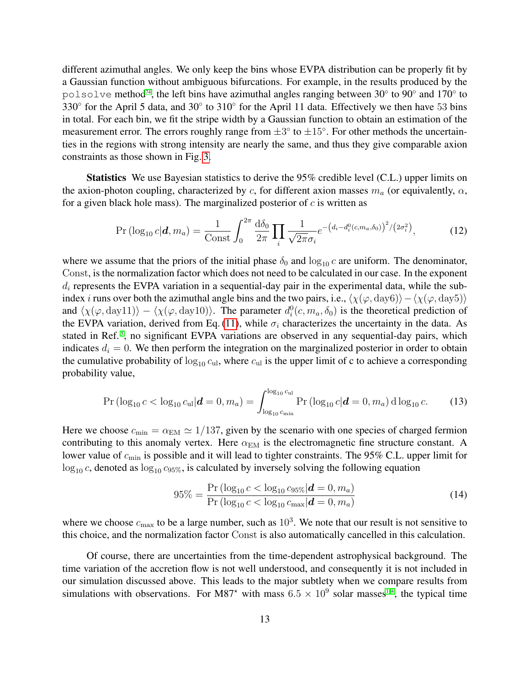different azimuthal angles. We only keep the bins whose EVPA distribution can be properly fit by a Gaussian function without ambiguous bifurcations. For example, in the results produced by the polsolve method<sup>[74](#page-20-0)</sup>, the left bins have azimuthal angles ranging between 30 $\degree$  to 90 $\degree$  and 170 $\degree$  to 330° for the April 5 data, and 30° to 310° for the April 11 data. Effectively we then have 53 bins in total. For each bin, we fit the stripe width by a Gaussian function to obtain an estimation of the measurement error. The errors roughly range from  $\pm 3^{\circ}$  to  $\pm 15^{\circ}$ . For other methods the uncertainties in the regions with strong intensity are nearly the same, and thus they give comparable axion constraints as those shown in Fig. [3.](#page-7-0)

Statistics We use Bayesian statistics to derive the 95% credible level (C.L.) upper limits on the axion-photon coupling, characterized by c, for different axion masses  $m_a$  (or equivalently,  $\alpha$ , for a given black hole mass). The marginalized posterior of  $c$  is written as

$$
\Pr\left(\log_{10} c|\mathbf{d}, m_a\right) = \frac{1}{\text{Const}} \int_0^{2\pi} \frac{d\delta_0}{2\pi} \prod_i \frac{1}{\sqrt{2\pi}\sigma_i} e^{-\left(d_i - d_i^0(c, m_a, \delta_0)\right)^2 / (2\sigma_i^2)},\tag{12}
$$

where we assume that the priors of the initial phase  $\delta_0$  and  $\log_{10} c$  are uniform. The denominator, Const, is the normalization factor which does not need to be calculated in our case. In the exponent  $d_i$  represents the EVPA variation in a sequential-day pair in the experimental data, while the subindex *i* runs over both the azimuthal angle bins and the two pairs, i.e.,  $\langle \chi(\varphi, \mathrm{day6}) \rangle - \langle \chi(\varphi, \mathrm{day5}) \rangle$ and  $\langle \chi(\varphi, \text{day11}) \rangle - \langle \chi(\varphi, \text{day10}) \rangle$ . The parameter  $d_i^0(c, m_a, \delta_0)$  is the theoretical prediction of the EVPA variation, derived from Eq. [\(11\)](#page-11-0), while  $\sigma_i$  characterizes the uncertainty in the data. As stated in Ref.<sup>[5](#page-15-2)</sup>, no significant EVPA variations are observed in any sequential-day pairs, which indicates  $d_i = 0$ . We then perform the integration on the marginalized posterior in order to obtain the cumulative probability of  $\log_{10} c_{\text{ul}}$ , where  $c_{\text{ul}}$  is the upper limit of c to achieve a corresponding probability value,

$$
\Pr\left(\log_{10} c < \log_{10} c_{\rm ul} | \mathbf{d} = 0, m_a\right) = \int_{\log_{10} c_{\rm min}}^{\log_{10} c_{\rm ul}} \Pr\left(\log_{10} c | \mathbf{d} = 0, m_a\right) \mathrm{d} \log_{10} c. \tag{13}
$$

Here we choose  $c_{\text{min}} = \alpha_{\text{EM}} \simeq 1/137$ , given by the scenario with one species of charged fermion contributing to this anomaly vertex. Here  $\alpha_{EM}$  is the electromagnetic fine structure constant. A lower value of  $c_{\min}$  is possible and it will lead to tighter constraints. The 95% C.L. upper limit for  $\log_{10} c$ , denoted as  $\log_{10} c_{95\%}$ , is calculated by inversely solving the following equation

$$
95\% = \frac{\Pr\left(\log_{10} c < \log_{10} c_{95\%} | \mathbf{d} = 0, m_a\right)}{\Pr\left(\log_{10} c < \log_{10} c_{\text{max}} | \mathbf{d} = 0, m_a\right)}\tag{14}
$$

where we choose  $c_{\text{max}}$  to be a large number, such as  $10^3$ . We note that our result is not sensitive to this choice, and the normalization factor Const is also automatically cancelled in this calculation.

Of course, there are uncertainties from the time-dependent astrophysical background. The time variation of the accretion flow is not well understood, and consequently it is not included in our simulation discussed above. This leads to the major subtlety when we compare results from simulations with observations. For M87<sup>\*</sup> with mass  $6.5 \times 10^9$  $6.5 \times 10^9$  $6.5 \times 10^9$  solar masses<sup>1-4</sup>, the typical time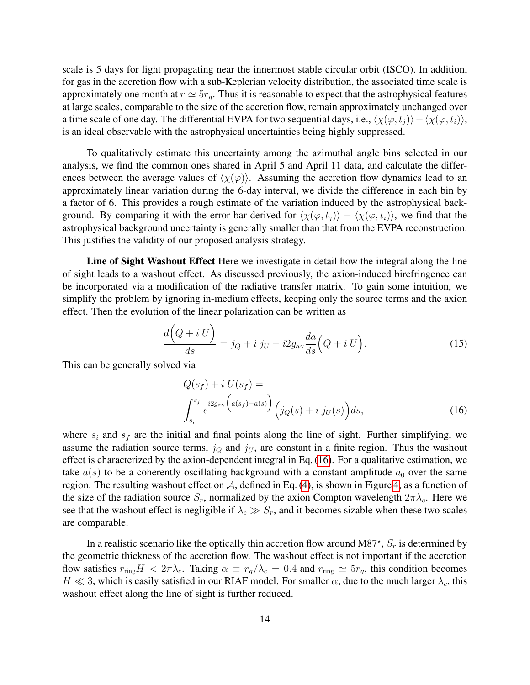scale is 5 days for light propagating near the innermost stable circular orbit (ISCO). In addition, for gas in the accretion flow with a sub-Keplerian velocity distribution, the associated time scale is approximately one month at  $r \simeq 5r_q$ . Thus it is reasonable to expect that the astrophysical features at large scales, comparable to the size of the accretion flow, remain approximately unchanged over a time scale of one day. The differential EVPA for two sequential days, i.e.,  $\langle \chi(\varphi, t_i) \rangle - \langle \chi(\varphi, t_i) \rangle$ , is an ideal observable with the astrophysical uncertainties being highly suppressed.

To qualitatively estimate this uncertainty among the azimuthal angle bins selected in our analysis, we find the common ones shared in April 5 and April 11 data, and calculate the differences between the average values of  $\langle \chi(\varphi) \rangle$ . Assuming the accretion flow dynamics lead to an approximately linear variation during the 6-day interval, we divide the difference in each bin by a factor of 6. This provides a rough estimate of the variation induced by the astrophysical background. By comparing it with the error bar derived for  $\langle \chi(\varphi, t_i) \rangle - \langle \chi(\varphi, t_i) \rangle$ , we find that the astrophysical background uncertainty is generally smaller than that from the EVPA reconstruction. This justifies the validity of our proposed analysis strategy.

Line of Sight Washout Effect Here we investigate in detail how the integral along the line of sight leads to a washout effect. As discussed previously, the axion-induced birefringence can be incorporated via a modification of the radiative transfer matrix. To gain some intuition, we simplify the problem by ignoring in-medium effects, keeping only the source terms and the axion effect. Then the evolution of the linear polarization can be written as

$$
\frac{d\left(Q+i\ U\right)}{ds} = j_Q + i\ j_U - i2g_{a\gamma}\frac{da}{ds}\Big(Q+i\ U\Big). \tag{15}
$$

This can be generally solved via

<span id="page-13-0"></span>
$$
Q(s_f) + i U(s_f) =
$$
  

$$
\int_{s_i}^{s_f} e^{i2g_{a\gamma} \left(a(s_f) - a(s)\right)} \left(j_Q(s) + i j_U(s)\right) ds,
$$
 (16)

where  $s_i$  and  $s_f$  are the initial and final points along the line of sight. Further simplifying, we assume the radiation source terms,  $j_Q$  and  $j_U$ , are constant in a finite region. Thus the washout effect is characterized by the axion-dependent integral in Eq. [\(16\)](#page-13-0). For a qualitative estimation, we take  $a(s)$  to be a coherently oscillating background with a constant amplitude  $a_0$  over the same region. The resulting washout effect on  $A$ , defined in Eq. [\(4\)](#page-4-0), is shown in Figure [4,](#page-14-0) as a function of the size of the radiation source  $S_r$ , normalized by the axion Compton wavelength  $2\pi\lambda_c$ . Here we see that the washout effect is negligible if  $\lambda_c \gg S_r$ , and it becomes sizable when these two scales are comparable.

In a realistic scenario like the optically thin accretion flow around M87\*,  $S_r$  is determined by the geometric thickness of the accretion flow. The washout effect is not important if the accretion flow satisfies  $r_{\text{ring}}H < 2\pi\lambda_c$ . Taking  $\alpha \equiv r_g/\lambda_c = 0.4$  and  $r_{\text{ring}} \simeq 5r_g$ , this condition becomes  $H \ll 3$ , which is easily satisfied in our RIAF model. For smaller  $\alpha$ , due to the much larger  $\lambda_c$ , this washout effect along the line of sight is further reduced.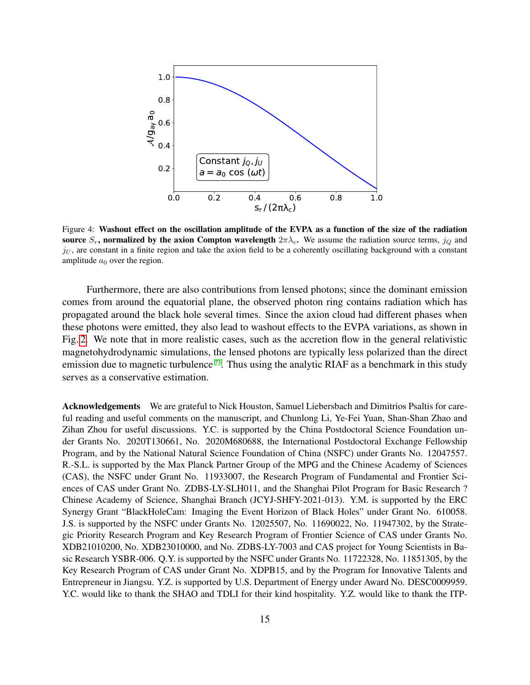<span id="page-14-0"></span>

Figure 4: Washout effect on the oscillation amplitude of the EVPA as a function of the size of the radiation source  $S_r$ , normalized by the axion Compton wavelength  $2\pi\lambda_c$ . We assume the radiation source terms,  $j_Q$  and  $j<sub>U</sub>$ , are constant in a finite region and take the axion field to be a coherently oscillating background with a constant amplitude  $a_0$  over the region.

Furthermore, there are also contributions from lensed photons; since the dominant emission comes from around the equatorial plane, the observed photon ring contains radiation which has propagated around the black hole several times. Since the axion cloud had different phases when these photons were emitted, they also lead to washout effects to the EVPA variations, as shown in Fig. [2.](#page-5-0) We note that in more realistic cases, such as the accretion flow in the general relativistic magnetohydrodynamic simulations, the lensed photons are typically less polarized than the direct emission due to magnetic turbulence  $73$ . Thus using the analytic RIAF as a benchmark in this study serves as a conservative estimation.

Acknowledgements We are grateful to Nick Houston, Samuel Liebersbach and Dimitrios Psaltis for careful reading and useful comments on the manuscript, and Chunlong Li, Ye-Fei Yuan, Shan-Shan Zhao and Zihan Zhou for useful discussions. Y.C. is supported by the China Postdoctoral Science Foundation under Grants No. 2020T130661, No. 2020M680688, the International Postdoctoral Exchange Fellowship Program, and by the National Natural Science Foundation of China (NSFC) under Grants No. 12047557. R.-S.L. is supported by the Max Planck Partner Group of the MPG and the Chinese Academy of Sciences (CAS), the NSFC under Grant No. 11933007, the Research Program of Fundamental and Frontier Sciences of CAS under Grant No. ZDBS-LY-SLH011, and the Shanghai Pilot Program for Basic Research ? Chinese Academy of Science, Shanghai Branch (JCYJ-SHFY-2021-013). Y.M. is supported by the ERC Synergy Grant "BlackHoleCam: Imaging the Event Horizon of Black Holes" under Grant No. 610058. J.S. is supported by the NSFC under Grants No. 12025507, No. 11690022, No. 11947302, by the Strategic Priority Research Program and Key Research Program of Frontier Science of CAS under Grants No. XDB21010200, No. XDB23010000, and No. ZDBS-LY-7003 and CAS project for Young Scientists in Basic Research YSBR-006. Q.Y. is supported by the NSFC under Grants No. 11722328, No. 11851305, by the Key Research Program of CAS under Grant No. XDPB15, and by the Program for Innovative Talents and Entrepreneur in Jiangsu. Y.Z. is supported by U.S. Department of Energy under Award No. DESC0009959. Y.C. would like to thank the SHAO and TDLI for their kind hospitality. Y.Z. would like to thank the ITP-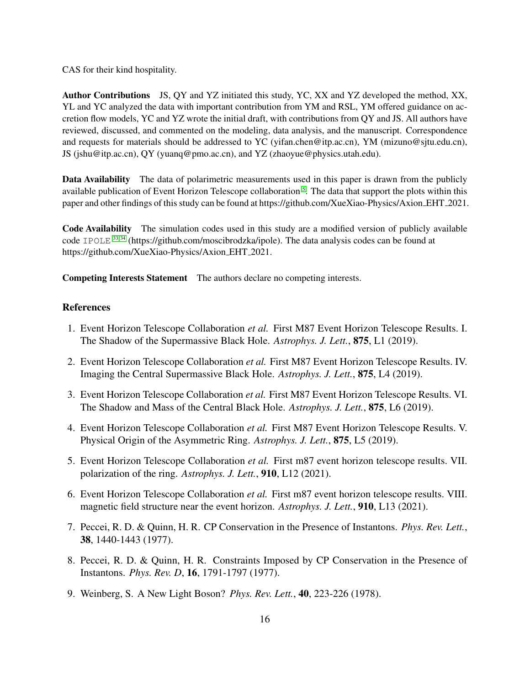CAS for their kind hospitality.

Author Contributions JS, QY and YZ initiated this study, YC, XX and YZ developed the method, XX, YL and YC analyzed the data with important contribution from YM and RSL, YM offered guidance on accretion flow models, YC and YZ wrote the initial draft, with contributions from QY and JS. All authors have reviewed, discussed, and commented on the modeling, data analysis, and the manuscript. Correspondence and requests for materials should be addressed to YC (yifan.chen@itp.ac.cn), YM (mizuno@sjtu.edu.cn), JS (jshu@itp.ac.cn), QY (yuanq@pmo.ac.cn), and YZ (zhaoyue@physics.utah.edu).

Data Availability The data of polarimetric measurements used in this paper is drawn from the publicly available publication of Event Horizon Telescope collaboration<sup>[5](#page-15-2)</sup>. The data that support the plots within this paper and other findings of this study can be found at https://github.com/XueXiao-Physics/Axion EHT 2021.

Code Availability The simulation codes used in this study are a modified version of publicly available code IPOLE  $^{33,34}$  $^{33,34}$  $^{33,34}$  (https://github.com/moscibrodzka/ipole). The data analysis codes can be found at https://github.com/XueXiao-Physics/Axion EHT 2021.

Competing Interests Statement The authors declare no competing interests.

# References

- <span id="page-15-0"></span>1. Event Horizon Telescope Collaboration *et al.* First M87 Event Horizon Telescope Results. I. The Shadow of the Supermassive Black Hole. *Astrophys. J. Lett.*, 875, L1 (2019).
- <span id="page-15-5"></span>2. Event Horizon Telescope Collaboration *et al.* First M87 Event Horizon Telescope Results. IV. Imaging the Central Supermassive Black Hole. *Astrophys. J. Lett.*, 875, L4 (2019).
- 3. Event Horizon Telescope Collaboration *et al.* First M87 Event Horizon Telescope Results. VI. The Shadow and Mass of the Central Black Hole. *Astrophys. J. Lett.*, 875, L6 (2019).
- <span id="page-15-1"></span>4. Event Horizon Telescope Collaboration *et al.* First M87 Event Horizon Telescope Results. V. Physical Origin of the Asymmetric Ring. *Astrophys. J. Lett.*, 875, L5 (2019).
- <span id="page-15-2"></span>5. Event Horizon Telescope Collaboration *et al.* First m87 event horizon telescope results. VII. polarization of the ring. *Astrophys. J. Lett.*, 910, L12 (2021).
- <span id="page-15-3"></span>6. Event Horizon Telescope Collaboration *et al.* First m87 event horizon telescope results. VIII. magnetic field structure near the event horizon. *Astrophys. J. Lett.*, 910, L13 (2021).
- <span id="page-15-4"></span>7. Peccei, R. D. & Quinn, H. R. CP Conservation in the Presence of Instantons. *Phys. Rev. Lett.*, 38, 1440-1443 (1977).
- 8. Peccei, R. D. & Quinn, H. R. Constraints Imposed by CP Conservation in the Presence of Instantons. *Phys. Rev. D*, 16, 1791-1797 (1977).
- 9. Weinberg, S. A New Light Boson? *Phys. Rev. Lett.*, 40, 223-226 (1978).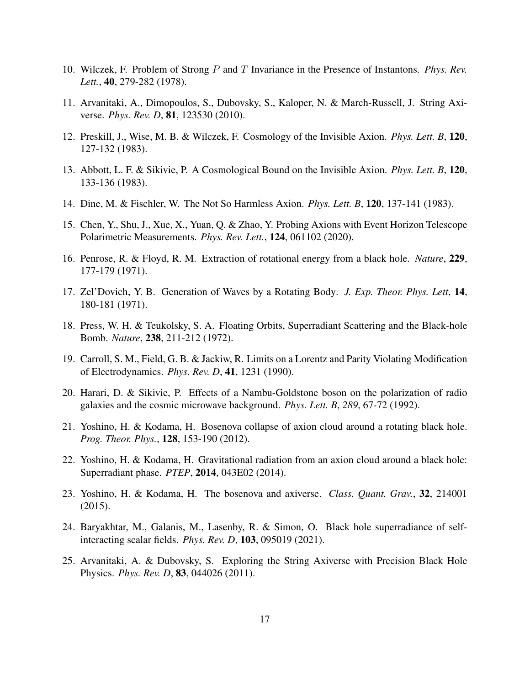- <span id="page-16-0"></span>10. Wilczek, F. Problem of Strong P and T Invariance in the Presence of Instantons. *Phys. Rev. Lett.*, 40, 279-282 (1978).
- <span id="page-16-1"></span>11. Arvanitaki, A., Dimopoulos, S., Dubovsky, S., Kaloper, N. & March-Russell, J. String Axiverse. *Phys. Rev. D*, 81, 123530 (2010).
- <span id="page-16-2"></span>12. Preskill, J., Wise, M. B. & Wilczek, F. Cosmology of the Invisible Axion. *Phys. Lett. B*, 120, 127-132 (1983).
- 13. Abbott, L. F. & Sikivie, P. A Cosmological Bound on the Invisible Axion. *Phys. Lett. B*, 120, 133-136 (1983).
- <span id="page-16-3"></span>14. Dine, M. & Fischler, W. The Not So Harmless Axion. *Phys. Lett. B*, 120, 137-141 (1983).
- <span id="page-16-4"></span>15. Chen, Y., Shu, J., Xue, X., Yuan, Q. & Zhao, Y. Probing Axions with Event Horizon Telescope Polarimetric Measurements. *Phys. Rev. Lett.*, 124, 061102 (2020).
- <span id="page-16-5"></span>16. Penrose, R. & Floyd, R. M. Extraction of rotational energy from a black hole. *Nature*, 229, 177-179 (1971).
- 17. Zel'Dovich, Y. B. Generation of Waves by a Rotating Body. *J. Exp. Theor. Phys. Lett*, 14, 180-181 (1971).
- <span id="page-16-6"></span>18. Press, W. H. & Teukolsky, S. A. Floating Orbits, Superradiant Scattering and the Black-hole Bomb. *Nature*, 238, 211-212 (1972).
- <span id="page-16-7"></span>19. Carroll, S. M., Field, G. B. & Jackiw, R. Limits on a Lorentz and Parity Violating Modification of Electrodynamics. *Phys. Rev. D*, 41, 1231 (1990).
- <span id="page-16-8"></span>20. Harari, D. & Sikivie, P. Effects of a Nambu-Goldstone boson on the polarization of radio galaxies and the cosmic microwave background. *Phys. Lett. B*, *289*, 67-72 (1992).
- <span id="page-16-9"></span>21. Yoshino, H. & Kodama, H. Bosenova collapse of axion cloud around a rotating black hole. *Prog. Theor. Phys.*, 128, 153-190 (2012).
- 22. Yoshino, H. & Kodama, H. Gravitational radiation from an axion cloud around a black hole: Superradiant phase. *PTEP*, 2014, 043E02 (2014).
- <span id="page-16-12"></span>23. Yoshino, H. & Kodama, H. The bosenova and axiverse. *Class. Quant. Grav.*, 32, 214001 (2015).
- <span id="page-16-10"></span>24. Baryakhtar, M., Galanis, M., Lasenby, R. & Simon, O. Black hole superradiance of selfinteracting scalar fields. *Phys. Rev. D*, 103, 095019 (2021).
- <span id="page-16-11"></span>25. Arvanitaki, A. & Dubovsky, S. Exploring the String Axiverse with Precision Black Hole Physics. *Phys. Rev. D*, 83, 044026 (2011).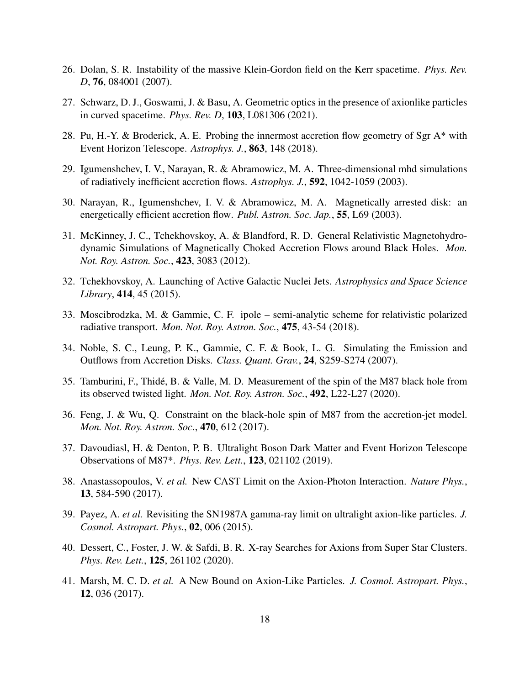- <span id="page-17-0"></span>26. Dolan, S. R. Instability of the massive Klein-Gordon field on the Kerr spacetime. *Phys. Rev. D*, 76, 084001 (2007).
- <span id="page-17-1"></span>27. Schwarz, D. J., Goswami, J. & Basu, A. Geometric optics in the presence of axionlike particles in curved spacetime. *Phys. Rev. D*, 103, L081306 (2021).
- <span id="page-17-2"></span>28. Pu, H.-Y. & Broderick, A. E. Probing the innermost accretion flow geometry of Sgr A\* with Event Horizon Telescope. *Astrophys. J.*, 863, 148 (2018).
- <span id="page-17-3"></span>29. Igumenshchev, I. V., Narayan, R. & Abramowicz, M. A. Three-dimensional mhd simulations of radiatively inefficient accretion flows. *Astrophys. J.*, 592, 1042-1059 (2003).
- 30. Narayan, R., Igumenshchev, I. V. & Abramowicz, M. A. Magnetically arrested disk: an energetically efficient accretion flow. *Publ. Astron. Soc. Jap.*, 55, L69 (2003).
- 31. McKinney, J. C., Tchekhovskoy, A. & Blandford, R. D. General Relativistic Magnetohydrodynamic Simulations of Magnetically Choked Accretion Flows around Black Holes. *Mon. Not. Roy. Astron. Soc.*, 423, 3083 (2012).
- <span id="page-17-4"></span>32. Tchekhovskoy, A. Launching of Active Galactic Nuclei Jets. *Astrophysics and Space Science Library*, 414, 45 (2015).
- <span id="page-17-5"></span>33. Moscibrodzka, M. & Gammie, C. F. ipole – semi-analytic scheme for relativistic polarized radiative transport. *Mon. Not. Roy. Astron. Soc.*, 475, 43-54 (2018).
- <span id="page-17-6"></span>34. Noble, S. C., Leung, P. K., Gammie, C. F. & Book, L. G. Simulating the Emission and Outflows from Accretion Disks. *Class. Quant. Grav.*, 24, S259-S274 (2007).
- <span id="page-17-7"></span>35. Tamburini, F., Thide, B. & Valle, M. D. Measurement of the spin of the M87 black hole from ´ its observed twisted light. *Mon. Not. Roy. Astron. Soc.*, 492, L22-L27 (2020).
- <span id="page-17-13"></span>36. Feng, J. & Wu, Q. Constraint on the black-hole spin of M87 from the accretion-jet model. *Mon. Not. Roy. Astron. Soc.*, 470, 612 (2017).
- <span id="page-17-8"></span>37. Davoudiasl, H. & Denton, P. B. Ultralight Boson Dark Matter and Event Horizon Telescope Observations of M87\*. *Phys. Rev. Lett.*, 123, 021102 (2019).
- <span id="page-17-9"></span>38. Anastassopoulos, V. *et al.* New CAST Limit on the Axion-Photon Interaction. *Nature Phys.*, 13, 584-590 (2017).
- <span id="page-17-10"></span>39. Payez, A. *et al.* Revisiting the SN1987A gamma-ray limit on ultralight axion-like particles. *J. Cosmol. Astropart. Phys.*, 02, 006 (2015).
- <span id="page-17-11"></span>40. Dessert, C., Foster, J. W. & Safdi, B. R. X-ray Searches for Axions from Super Star Clusters. *Phys. Rev. Lett.*, 125, 261102 (2020).
- <span id="page-17-12"></span>41. Marsh, M. C. D. *et al.* A New Bound on Axion-Like Particles. *J. Cosmol. Astropart. Phys.*, 12, 036 (2017).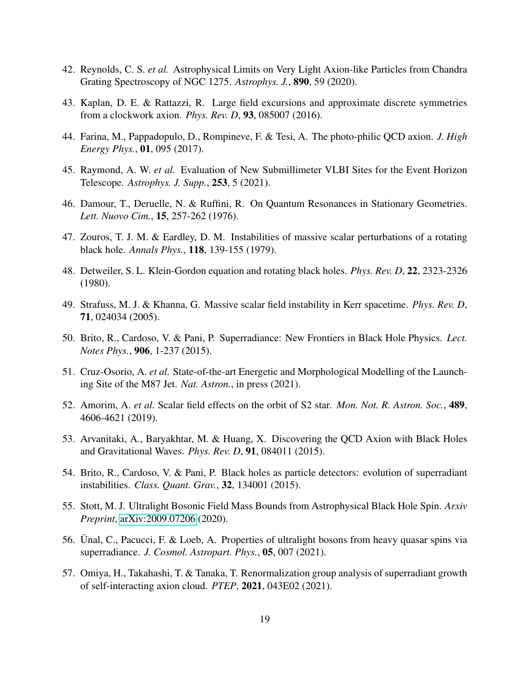- <span id="page-18-0"></span>42. Reynolds, C. S. *et al.* Astrophysical Limits on Very Light Axion-like Particles from Chandra Grating Spectroscopy of NGC 1275. *Astrophys. J.*, 890, 59 (2020).
- <span id="page-18-1"></span>43. Kaplan, D. E. & Rattazzi, R. Large field excursions and approximate discrete symmetries from a clockwork axion. *Phys. Rev. D*, 93, 085007 (2016).
- <span id="page-18-2"></span>44. Farina, M., Pappadopulo, D., Rompineve, F. & Tesi, A. The photo-philic QCD axion. *J. High Energy Phys.*, 01, 095 (2017).
- <span id="page-18-3"></span>45. Raymond, A. W. *et al.* Evaluation of New Submillimeter VLBI Sites for the Event Horizon Telescope. *Astrophys. J. Supp.*, 253, 5 (2021).
- <span id="page-18-4"></span>46. Damour, T., Deruelle, N. & Ruffini, R. On Quantum Resonances in Stationary Geometries. *Lett. Nuovo Cim.*, 15, 257-262 (1976).
- 47. Zouros, T. J. M. & Eardley, D. M. Instabilities of massive scalar perturbations of a rotating black hole. *Annals Phys.*, 118, 139-155 (1979).
- 48. Detweiler, S. L. Klein-Gordon equation and rotating black holes. *Phys. Rev. D*, 22, 2323-2326 (1980).
- <span id="page-18-5"></span>49. Strafuss, M. J. & Khanna, G. Massive scalar field instability in Kerr spacetime. *Phys. Rev. D*, 71, 024034 (2005).
- <span id="page-18-6"></span>50. Brito, R., Cardoso, V. & Pani, P. Superradiance: New Frontiers in Black Hole Physics. *Lect. Notes Phys.*, 906, 1-237 (2015).
- <span id="page-18-7"></span>51. Cruz-Osorio, A. *et al.* State-of-the-art Energetic and Morphological Modelling of the Launching Site of the M87 Jet. *Nat. Astron.*, in press (2021).
- <span id="page-18-8"></span>52. Amorim, A. *et al.* Scalar field effects on the orbit of S2 star. *Mon. Not. R. Astron. Soc.*, 489, 4606-4621 (2019).
- <span id="page-18-9"></span>53. Arvanitaki, A., Baryakhtar, M. & Huang, X. Discovering the QCD Axion with Black Holes and Gravitational Waves. *Phys. Rev. D*, 91, 084011 (2015).
- 54. Brito, R., Cardoso, V. & Pani, P. Black holes as particle detectors: evolution of superradiant instabilities. *Class. Quant. Grav.*, 32, 134001 (2015).
- 55. Stott, M. J. Ultralight Bosonic Field Mass Bounds from Astrophysical Black Hole Spin. *Arxiv Preprint*, [arXiv:2009.07206](http://arxiv.org/abs/2009.07206) (2020).
- <span id="page-18-10"></span>56. Ünal, C., Pacucci, F. & Loeb, A. Properties of ultralight bosons from heavy quasar spins via superradiance. *J. Cosmol. Astropart. Phys.*, 05, 007 (2021).
- <span id="page-18-11"></span>57. Omiya, H., Takahashi, T. & Tanaka, T. Renormalization group analysis of superradiant growth of self-interacting axion cloud. *PTEP*, 2021, 043E02 (2021).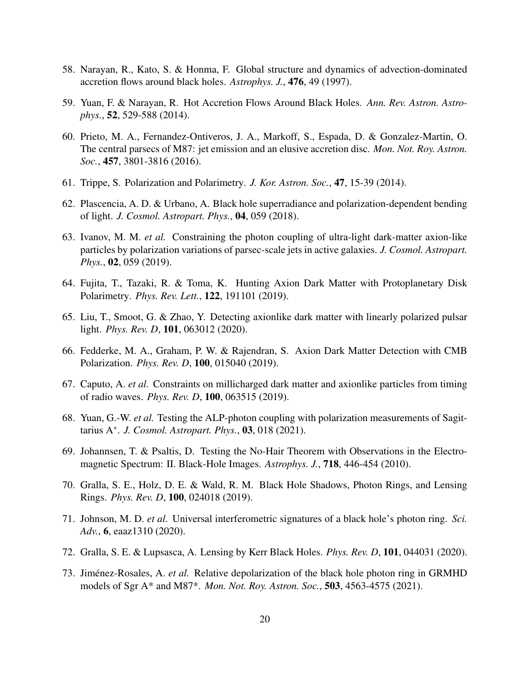- <span id="page-19-0"></span>58. Narayan, R., Kato, S. & Honma, F. Global structure and dynamics of advection-dominated accretion flows around black holes. *Astrophys. J.*, 476, 49 (1997).
- <span id="page-19-1"></span>59. Yuan, F. & Narayan, R. Hot Accretion Flows Around Black Holes. *Ann. Rev. Astron. Astrophys.*, 52, 529-588 (2014).
- <span id="page-19-2"></span>60. Prieto, M. A., Fernandez-Ontiveros, J. A., Markoff, S., Espada, D. & Gonzalez-Martin, O. The central parsecs of M87: jet emission and an elusive accretion disc. *Mon. Not. Roy. Astron. Soc.*, 457, 3801-3816 (2016).
- <span id="page-19-3"></span>61. Trippe, S. Polarization and Polarimetry. *J. Kor. Astron. Soc.*, 47, 15-39 (2014).
- <span id="page-19-4"></span>62. Plascencia, A. D. & Urbano, A. Black hole superradiance and polarization-dependent bending of light. *J. Cosmol. Astropart. Phys.*, 04, 059 (2018).
- 63. Ivanov, M. M. *et al.* Constraining the photon coupling of ultra-light dark-matter axion-like particles by polarization variations of parsec-scale jets in active galaxies. *J. Cosmol. Astropart. Phys.*, 02, 059 (2019).
- 64. Fujita, T., Tazaki, R. & Toma, K. Hunting Axion Dark Matter with Protoplanetary Disk Polarimetry. *Phys. Rev. Lett.*, 122, 191101 (2019).
- 65. Liu, T., Smoot, G. & Zhao, Y. Detecting axionlike dark matter with linearly polarized pulsar light. *Phys. Rev. D*, 101, 063012 (2020).
- 66. Fedderke, M. A., Graham, P. W. & Rajendran, S. Axion Dark Matter Detection with CMB Polarization. *Phys. Rev. D*, 100, 015040 (2019).
- 67. Caputo, A. *et al.* Constraints on millicharged dark matter and axionlike particles from timing of radio waves. *Phys. Rev. D*, 100, 063515 (2019).
- <span id="page-19-5"></span>68. Yuan, G.-W. *et al.* Testing the ALP-photon coupling with polarization measurements of Sagittarius A<sup>∗</sup> . *J. Cosmol. Astropart. Phys.*, 03, 018 (2021).
- <span id="page-19-6"></span>69. Johannsen, T. & Psaltis, D. Testing the No-Hair Theorem with Observations in the Electromagnetic Spectrum: II. Black-Hole Images. *Astrophys. J.*, 718, 446-454 (2010).
- 70. Gralla, S. E., Holz, D. E. & Wald, R. M. Black Hole Shadows, Photon Rings, and Lensing Rings. *Phys. Rev. D*, 100, 024018 (2019).
- 71. Johnson, M. D. *et al.* Universal interferometric signatures of a black hole's photon ring. *Sci. Adv.*, 6, eaaz1310 (2020).
- <span id="page-19-7"></span>72. Gralla, S. E. & Lupsasca, A. Lensing by Kerr Black Holes. *Phys. Rev. D*, 101, 044031 (2020).
- <span id="page-19-8"></span>73. Jiménez-Rosales, A. *et al.* Relative depolarization of the black hole photon ring in GRMHD models of Sgr A\* and M87\*. *Mon. Not. Roy. Astron. Soc.*, 503, 4563-4575 (2021).